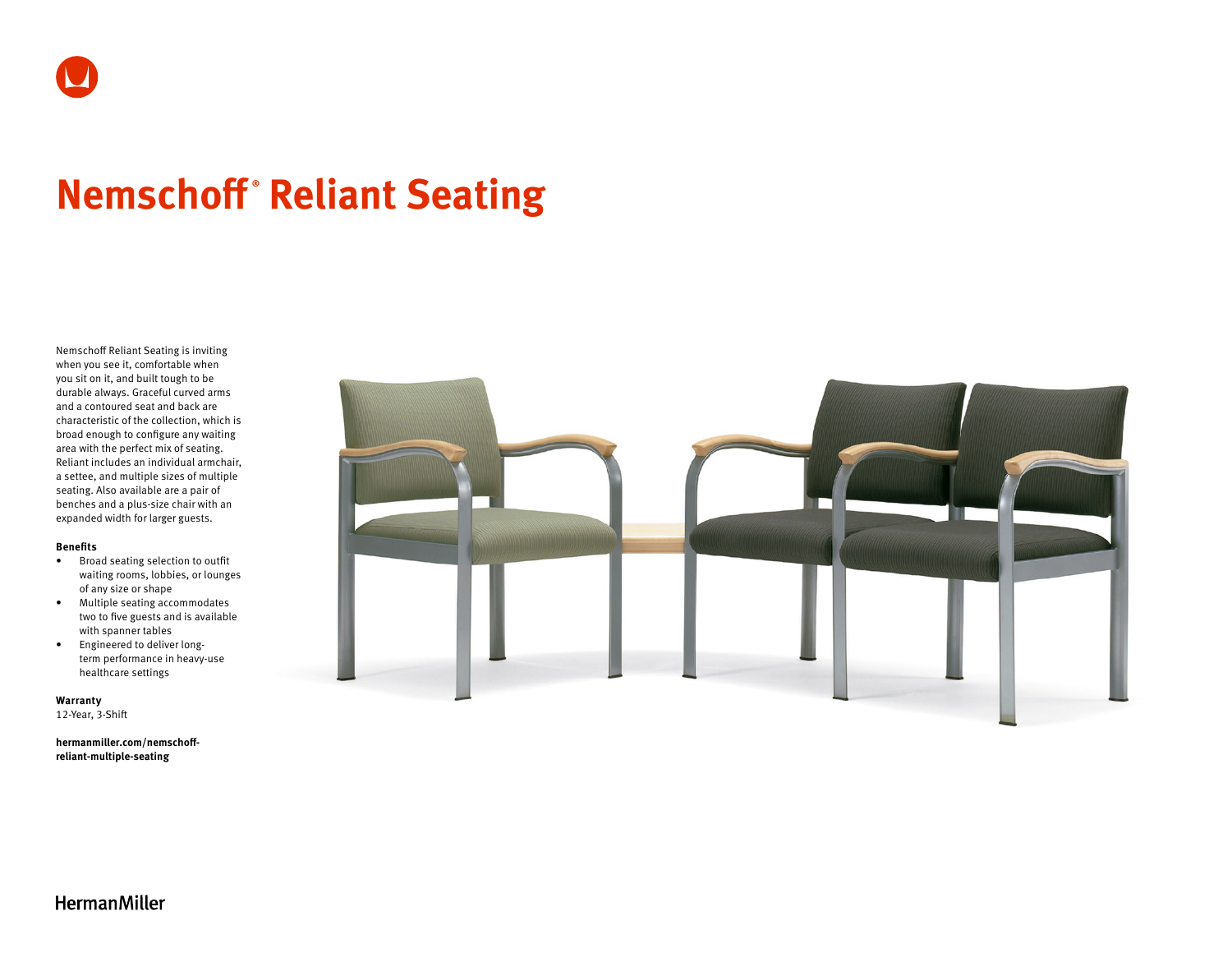# **Nemschoff ® Reliant Seating**

Nemschoff Reliant Seating is inviting when you see it, comfortable when you sit on it, and built tough to be durable always. Graceful curved arms and a contoured seat and back are characteristic of the collection, which is broad enough to configure any waiting area with the perfect mix of seating. Reliant includes an individual armchair, a settee, and multiple sizes of multiple seating. Also available are a pair of benches and a plus-size chair with an expanded width for larger guests.

### **Benefits**

- Broad seating selection to outfit waiting rooms, lobbies, or lounges of any size or shape
- Multiple seating accommodates two to five guests and is available with spanner tables
- Engineered to deliver longterm performance in heavy-use healthcare settings

**Warranty**  12-Year, 3-Shift

**[hermanmiller.com/nemschoff](http://hermanmiller.com/nemschoff-reliant-multiple-seating)[reliant-multiple-seating](http://hermanmiller.com/nemschoff-reliant-multiple-seating)**